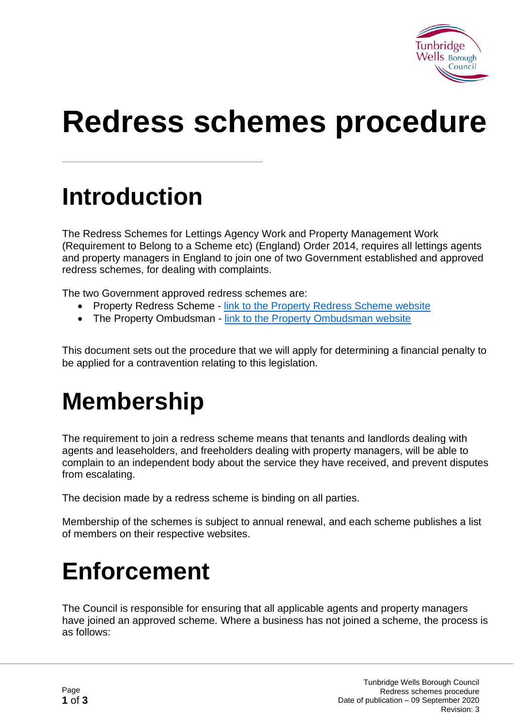

# **Redress schemes procedure**

## **Introduction**

The Redress Schemes for Lettings Agency Work and Property Management Work (Requirement to Belong to a Scheme etc) (England) Order 2014, requires all lettings agents and property managers in England to join one of two Government established and approved redress schemes, for dealing with complaints.

The two Government approved redress schemes are:

- Property Redress Scheme [link to the Property Redress Scheme website](http://www.theprs.co.uk/)
- The Property Ombudsman [link to the Property Ombudsman website](http://www.tpos.co.uk/)

This document sets out the procedure that we will apply for determining a financial penalty to be applied for a contravention relating to this legislation.

## **Membership**

The requirement to join a redress scheme means that tenants and landlords dealing with agents and leaseholders, and freeholders dealing with property managers, will be able to complain to an independent body about the service they have received, and prevent disputes from escalating.

The decision made by a redress scheme is binding on all parties.

Membership of the schemes is subject to annual renewal, and each scheme publishes a list of members on their respective websites.

## **Enforcement**

The Council is responsible for ensuring that all applicable agents and property managers have joined an approved scheme. Where a business has not joined a scheme, the process is as follows: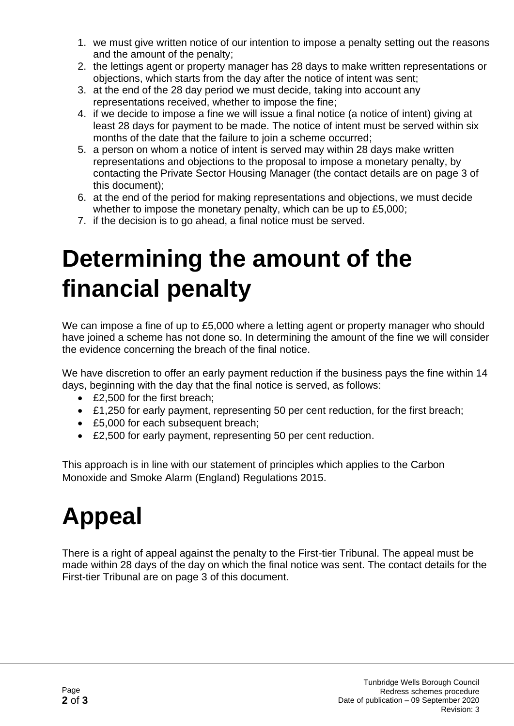- 1. we must give written notice of our intention to impose a penalty setting out the reasons and the amount of the penalty;
- 2. the lettings agent or property manager has 28 days to make written representations or objections, which starts from the day after the notice of intent was sent;
- 3. at the end of the 28 day period we must decide, taking into account any representations received, whether to impose the fine;
- 4. if we decide to impose a fine we will issue a final notice (a notice of intent) giving at least 28 days for payment to be made. The notice of intent must be served within six months of the date that the failure to join a scheme occurred;
- 5. a person on whom a notice of intent is served may within 28 days make written representations and objections to the proposal to impose a monetary penalty, by contacting the Private Sector Housing Manager (the contact details are on page 3 of this document);
- 6. at the end of the period for making representations and objections, we must decide whether to impose the monetary penalty, which can be up to £5,000;
- 7. if the decision is to go ahead, a final notice must be served.

## **Determining the amount of the financial penalty**

We can impose a fine of up to £5,000 where a letting agent or property manager who should have joined a scheme has not done so. In determining the amount of the fine we will consider the evidence concerning the breach of the final notice.

We have discretion to offer an early payment reduction if the business pays the fine within 14 days, beginning with the day that the final notice is served, as follows:

- £2,500 for the first breach;
- £1,250 for early payment, representing 50 per cent reduction, for the first breach:
- £5,000 for each subsequent breach;
- £2,500 for early payment, representing 50 per cent reduction.

This approach is in line with our statement of principles which applies to the Carbon Monoxide and Smoke Alarm (England) Regulations 2015.

## **Appeal**

There is a right of appeal against the penalty to the First-tier Tribunal. The appeal must be made within 28 days of the day on which the final notice was sent. The contact details for the First-tier Tribunal are on page 3 of this document.